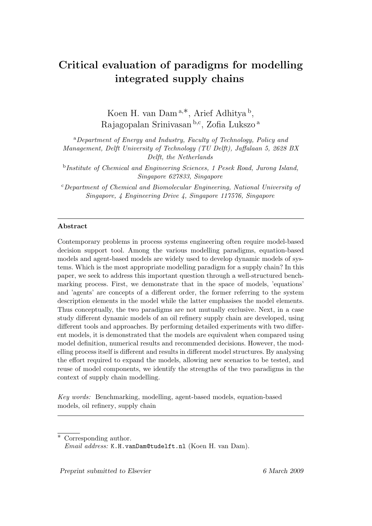# Critical evaluation of paradigms for modelling integrated supply chains

Koen H. van Dam<sup>a,\*</sup>, Arief Adhitya<sup>b</sup>, Rajagopalan Srinivasan <sup>b,c</sup>, Zofia Lukszo<sup>a</sup>

<sup>a</sup>Department of Energy and Industry, Faculty of Technology, Policy and Management, Delft University of Technology (TU Delft), Jaffalaan 5, 2628 BX Delft, the Netherlands

b Institute of Chemical and Engineering Sciences, 1 Pesek Road, Jurong Island, Singapore 627833, Singapore

<sup>c</sup>Department of Chemical and Biomolecular Engineering, National University of Singapore, 4 Engineering Drive 4, Singapore 117576, Singapore

## Abstract

Contemporary problems in process systems engineering often require model-based decision support tool. Among the various modelling paradigms, equation-based models and agent-based models are widely used to develop dynamic models of systems. Which is the most appropriate modelling paradigm for a supply chain? In this paper, we seek to address this important question through a well-structured benchmarking process. First, we demonstrate that in the space of models, 'equations' and 'agents' are concepts of a different order, the former referring to the system description elements in the model while the latter emphasises the model elements. Thus conceptually, the two paradigms are not mutually exclusive. Next, in a case study different dynamic models of an oil refinery supply chain are developed, using different tools and approaches. By performing detailed experiments with two different models, it is demonstrated that the models are equivalent when compared using model definition, numerical results and recommended decisions. However, the modelling process itself is different and results in different model structures. By analysing the effort required to expand the models, allowing new scenarios to be tested, and reuse of model components, we identify the strengths of the two paradigms in the context of supply chain modelling.

Key words: Benchmarking, modelling, agent-based models, equation-based models, oil refinery, supply chain

Preprint submitted to Elsevier 6 March 2009

Corresponding author.

Email address: K.H.vanDam@tudelft.nl (Koen H. van Dam).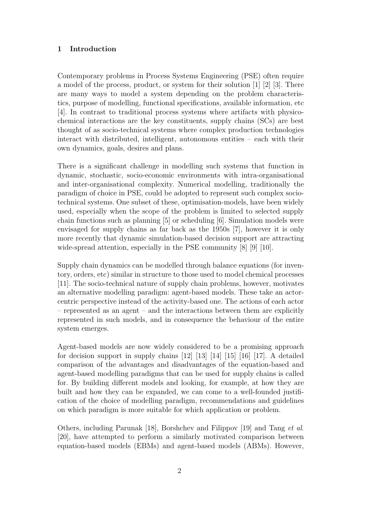## 1 Introduction

Contemporary problems in Process Systems Engineering (PSE) often require a model of the process, product, or system for their solution [1] [2] [3]. There are many ways to model a system depending on the problem characteristics, purpose of modelling, functional specifications, available information, etc [4]. In contrast to traditional process systems where artifacts with physicochemical interactions are the key constituents, supply chains (SCs) are best thought of as socio-technical systems where complex production technologies interact with distributed, intelligent, autonomous entities – each with their own dynamics, goals, desires and plans.

There is a significant challenge in modelling such systems that function in dynamic, stochastic, socio-economic environments with intra-organisational and inter-organisational complexity. Numerical modelling, traditionally the paradigm of choice in PSE, could be adopted to represent such complex sociotechnical systems. One subset of these, optimisation-models, have been widely used, especially when the scope of the problem is limited to selected supply chain functions such as planning [5] or scheduling [6]. Simulation models were envisaged for supply chains as far back as the 1950s [7], however it is only more recently that dynamic simulation-based decision support are attracting wide-spread attention, especially in the PSE community  $[8]$  [9] [10].

Supply chain dynamics can be modelled through balance equations (for inventory, orders, etc) similar in structure to those used to model chemical processes [11]. The socio-technical nature of supply chain problems, however, motivates an alternative modelling paradigm: agent-based models. These take an actorcentric perspective instead of the activity-based one. The actions of each actor – represented as an agent – and the interactions between them are explicitly represented in such models, and in consequence the behaviour of the entire system emerges.

Agent-based models are now widely considered to be a promising approach for decision support in supply chains [12] [13] [14] [15] [16] [17]. A detailed comparison of the advantages and disadvantages of the equation-based and agent-based modelling paradigms that can be used for supply chains is called for. By building different models and looking, for example, at how they are built and how they can be expanded, we can come to a well-founded justification of the choice of modelling paradigm, recommendations and guidelines on which paradigm is more suitable for which application or problem.

Others, including Parunak [18], Borshchev and Filippov [19] and Tang et al. [20], have attempted to perform a similarly motivated comparison between equation-based models (EBMs) and agent-based models (ABMs). However,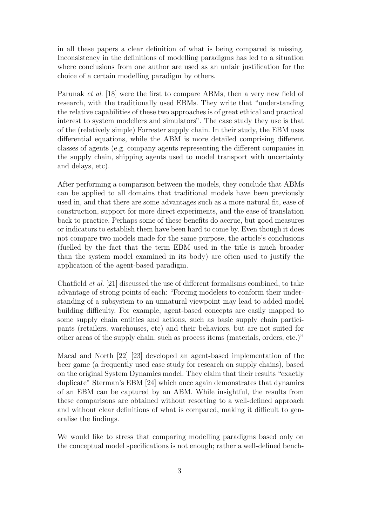in all these papers a clear definition of what is being compared is missing. Inconsistency in the definitions of modelling paradigms has led to a situation where conclusions from one author are used as an unfair justification for the choice of a certain modelling paradigm by others.

Parunak et al. [18] were the first to compare ABMs, then a very new field of research, with the traditionally used EBMs. They write that "understanding the relative capabilities of these two approaches is of great ethical and practical interest to system modellers and simulators". The case study they use is that of the (relatively simple) Forrester supply chain. In their study, the EBM uses differential equations, while the ABM is more detailed comprising different classes of agents (e.g. company agents representing the different companies in the supply chain, shipping agents used to model transport with uncertainty and delays, etc).

After performing a comparison between the models, they conclude that ABMs can be applied to all domains that traditional models have been previously used in, and that there are some advantages such as a more natural fit, ease of construction, support for more direct experiments, and the ease of translation back to practice. Perhaps some of these benefits do accrue, but good measures or indicators to establish them have been hard to come by. Even though it does not compare two models made for the same purpose, the article's conclusions (fuelled by the fact that the term EBM used in the title is much broader than the system model examined in its body) are often used to justify the application of the agent-based paradigm.

Chatfield et al. [21] discussed the use of different formalisms combined, to take advantage of strong points of each: "Forcing modelers to conform their understanding of a subsystem to an unnatural viewpoint may lead to added model building difficulty. For example, agent-based concepts are easily mapped to some supply chain entities and actions, such as basic supply chain participants (retailers, warehouses, etc) and their behaviors, but are not suited for other areas of the supply chain, such as process items (materials, orders, etc.)"

Macal and North [22] [23] developed an agent-based implementation of the beer game (a frequently used case study for research on supply chains), based on the original System Dynamics model. They claim that their results "exactly duplicate" Sterman's EBM [24] which once again demonstrates that dynamics of an EBM can be captured by an ABM. While insightful, the results from these comparisons are obtained without resorting to a well-defined approach and without clear definitions of what is compared, making it difficult to generalise the findings.

We would like to stress that comparing modelling paradigms based only on the conceptual model specifications is not enough; rather a well-defined bench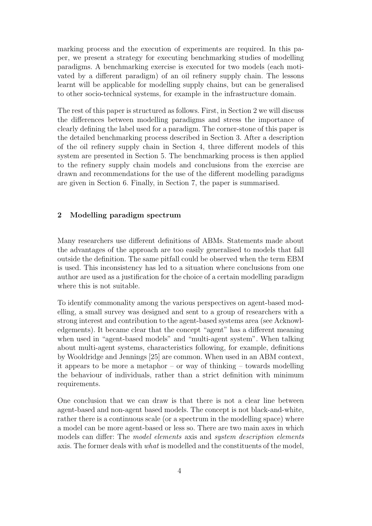marking process and the execution of experiments are required. In this paper, we present a strategy for executing benchmarking studies of modelling paradigms. A benchmarking exercise is executed for two models (each motivated by a different paradigm) of an oil refinery supply chain. The lessons learnt will be applicable for modelling supply chains, but can be generalised to other socio-technical systems, for example in the infrastructure domain.

The rest of this paper is structured as follows. First, in Section 2 we will discuss the differences between modelling paradigms and stress the importance of clearly defining the label used for a paradigm. The corner-stone of this paper is the detailed benchmarking process described in Section 3. After a description of the oil refinery supply chain in Section 4, three different models of this system are presented in Section 5. The benchmarking process is then applied to the refinery supply chain models and conclusions from the exercise are drawn and recommendations for the use of the different modelling paradigms are given in Section 6. Finally, in Section 7, the paper is summarised.

# 2 Modelling paradigm spectrum

Many researchers use different definitions of ABMs. Statements made about the advantages of the approach are too easily generalised to models that fall outside the definition. The same pitfall could be observed when the term EBM is used. This inconsistency has led to a situation where conclusions from one author are used as a justification for the choice of a certain modelling paradigm where this is not suitable.

To identify commonality among the various perspectives on agent-based modelling, a small survey was designed and sent to a group of researchers with a strong interest and contribution to the agent-based systems area (see Acknowledgements). It became clear that the concept "agent" has a different meaning when used in "agent-based models" and "multi-agent system". When talking about multi-agent systems, characteristics following, for example, definitions by Wooldridge and Jennings [25] are common. When used in an ABM context, it appears to be more a metaphor – or way of thinking – towards modelling the behaviour of individuals, rather than a strict definition with minimum requirements.

One conclusion that we can draw is that there is not a clear line between agent-based and non-agent based models. The concept is not black-and-white, rather there is a continuous scale (or a spectrum in the modelling space) where a model can be more agent-based or less so. There are two main axes in which models can differ: The *model elements* axis and *system description elements* axis. The former deals with what is modelled and the constituents of the model,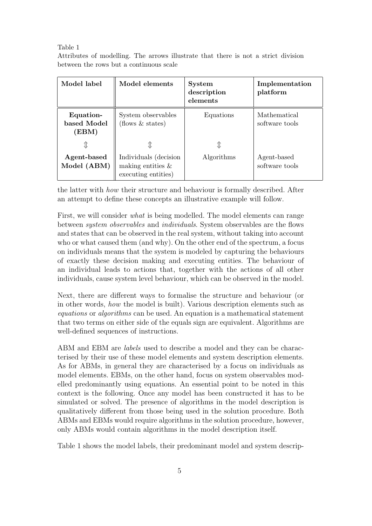Table 1

Attributes of modelling. The arrows illustrate that there is not a strict division between the rows but a continuous scale

| Model label                       | Model elements                                                       | <b>System</b><br>description<br>elements | Implementation<br>platform     |
|-----------------------------------|----------------------------------------------------------------------|------------------------------------------|--------------------------------|
| Equation-<br>based Model<br>(EBM) | System observables<br>(flows $&$ states)                             | Equations                                | Mathematical<br>software tools |
| ⇕                                 | ⇕                                                                    | ⇕                                        |                                |
| Agent-based<br>Model (ABM)        | Individuals (decision<br>making entities $\&$<br>executing entities) | Algorithms                               | Agent-based<br>software tools  |

the latter with how their structure and behaviour is formally described. After an attempt to define these concepts an illustrative example will follow.

First, we will consider what is being modelled. The model elements can range between system observables and individuals. System observables are the flows and states that can be observed in the real system, without taking into account who or what caused them (and why). On the other end of the spectrum, a focus on individuals means that the system is modeled by capturing the behaviours of exactly these decision making and executing entities. The behaviour of an individual leads to actions that, together with the actions of all other individuals, cause system level behaviour, which can be observed in the model.

Next, there are different ways to formalise the structure and behaviour (or in other words, how the model is built). Various description elements such as equations or algorithms can be used. An equation is a mathematical statement that two terms on either side of the equals sign are equivalent. Algorithms are well-defined sequences of instructions.

ABM and EBM are *labels* used to describe a model and they can be characterised by their use of these model elements and system description elements. As for ABMs, in general they are characterised by a focus on individuals as model elements. EBMs, on the other hand, focus on system observables modelled predominantly using equations. An essential point to be noted in this context is the following. Once any model has been constructed it has to be simulated or solved. The presence of algorithms in the model description is qualitatively different from those being used in the solution procedure. Both ABMs and EBMs would require algorithms in the solution procedure, however, only ABMs would contain algorithms in the model description itself.

Table 1 shows the model labels, their predominant model and system descrip-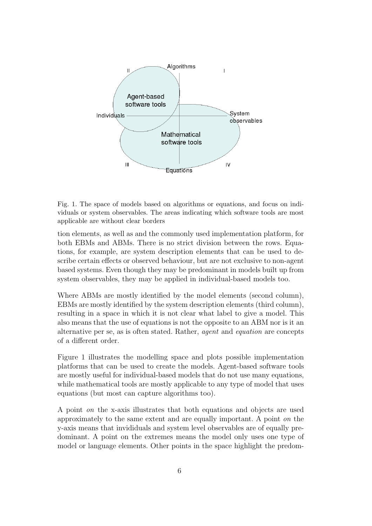

Fig. 1. The space of models based on algorithms or equations, and focus on individuals or system observables. The areas indicating which software tools are most applicable are without clear borders

tion elements, as well as and the commonly used implementation platform, for both EBMs and ABMs. There is no strict division between the rows. Equations, for example, are system description elements that can be used to describe certain effects or observed behaviour, but are not exclusive to non-agent based systems. Even though they may be predominant in models built up from system observables, they may be applied in individual-based models too.

Where ABMs are mostly identified by the model elements (second column), EBMs are mostly identified by the system description elements (third column), resulting in a space in which it is not clear what label to give a model. This also means that the use of equations is not the opposite to an ABM nor is it an alternative per se, as is often stated. Rather, agent and equation are concepts of a different order.

Figure 1 illustrates the modelling space and plots possible implementation platforms that can be used to create the models. Agent-based software tools are mostly useful for individual-based models that do not use many equations, while mathematical tools are mostly applicable to any type of model that uses equations (but most can capture algorithms too).

A point on the x-axis illustrates that both equations and objects are used approximately to the same extent and are equally important. A point on the y-axis means that invididuals and system level observables are of equally predominant. A point on the extremes means the model only uses one type of model or language elements. Other points in the space highlight the predom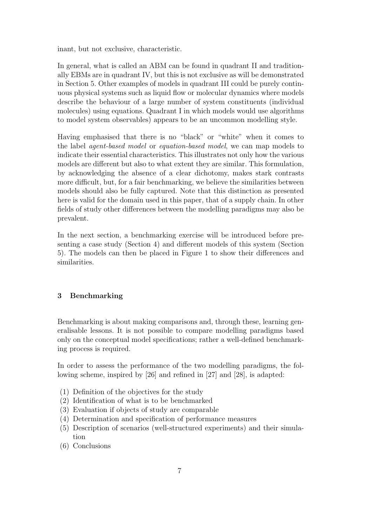inant, but not exclusive, characteristic.

In general, what is called an ABM can be found in quadrant II and traditionally EBMs are in quadrant IV, but this is not exclusive as will be demonstrated in Section 5. Other examples of models in quadrant III could be purely continuous physical systems such as liquid flow or molecular dynamics where models describe the behaviour of a large number of system constituents (individual molecules) using equations. Quadrant I in which models would use algorithms to model system observables) appears to be an uncommon modelling style.

Having emphasised that there is no "black" or "white" when it comes to the label agent-based model or equation-based model, we can map models to indicate their essential characteristics. This illustrates not only how the various models are different but also to what extent they are similar. This formulation, by acknowledging the absence of a clear dichotomy, makes stark contrasts more difficult, but, for a fair benchmarking, we believe the similarities between models should also be fully captured. Note that this distinction as presented here is valid for the domain used in this paper, that of a supply chain. In other fields of study other differences between the modelling paradigms may also be prevalent.

In the next section, a benchmarking exercise will be introduced before presenting a case study (Section 4) and different models of this system (Section 5). The models can then be placed in Figure 1 to show their differences and similarities.

## 3 Benchmarking

Benchmarking is about making comparisons and, through these, learning generalisable lessons. It is not possible to compare modelling paradigms based only on the conceptual model specifications; rather a well-defined benchmarking process is required.

In order to assess the performance of the two modelling paradigms, the following scheme, inspired by [26] and refined in [27] and [28], is adapted:

- (1) Definition of the objectives for the study
- (2) Identification of what is to be benchmarked
- (3) Evaluation if objects of study are comparable
- (4) Determination and specification of performance measures
- (5) Description of scenarios (well-structured experiments) and their simulation
- (6) Conclusions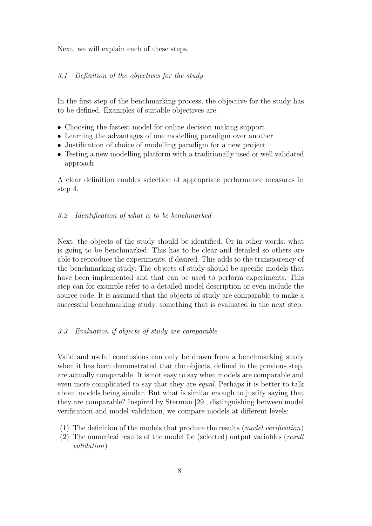Next, we will explain each of these steps.

## 3.1 Definition of the objectives for the study

In the first step of the benchmarking process, the objective for the study has to be defined. Examples of suitable objectives are:

- Choosing the fastest model for online decision making support
- Learning the advantages of one modelling paradigm over another
- Justification of choice of modelling paradigm for a new project
- Testing a new modelling platform with a traditionally used or well validated approach

A clear definition enables selection of appropriate performance measures in step 4.

### 3.2 Identification of what is to be benchmarked

Next, the objects of the study should be identified. Or in other words: what is going to be benchmarked. This has to be clear and detailed so others are able to reproduce the experiments, if desired. This adds to the transparency of the benchmarking study. The objects of study should be specific models that have been implemented and that can be used to perform experiments. This step can for example refer to a detailed model description or even include the source code. It is assumed that the objects of study are comparable to make a successful benchmarking study, something that is evaluated in the next step.

## 3.3 Evaluation if objects of study are comparable

Valid and useful conclusions can only be drawn from a benchmarking study when it has been demonstrated that the objects, defined in the previous step, are actually comparable. It is not easy to say when models are comparable and even more complicated to say that they are equal. Perhaps it is better to talk about models being similar. But what is similar enough to justify saying that they are comparable? Inspired by Sterman [29], distinguishing between model verification and model validation, we compare models at different levels:

- (1) The definition of the models that produce the results (model verification)
- (2) The numerical results of the model for (selected) output variables (result validation)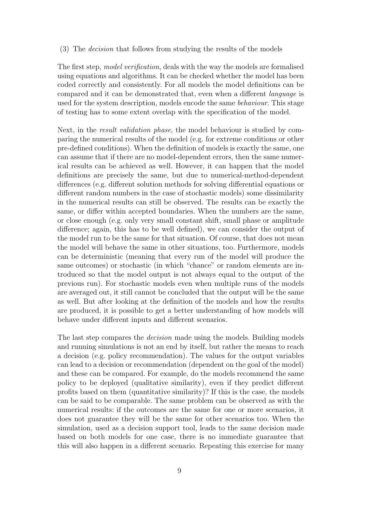#### (3) The decision that follows from studying the results of the models

The first step, model verification, deals with the way the models are formalised using equations and algorithms. It can be checked whether the model has been coded correctly and consistently. For all models the model definitions can be compared and it can be demonstrated that, even when a different language is used for the system description, models encode the same *behaviour*. This stage of testing has to some extent overlap with the specification of the model.

Next, in the result validation phase, the model behaviour is studied by comparing the numerical results of the model (e.g. for extreme conditions or other pre-defined conditions). When the definition of models is exactly the same, one can assume that if there are no model-dependent errors, then the same numerical results can be achieved as well. However, it can happen that the model definitions are precisely the same, but due to numerical-method-dependent differences (e.g. different solution methods for solving differential equations or different random numbers in the case of stochastic models) some dissimilarity in the numerical results can still be observed. The results can be exactly the same, or differ within accepted boundaries. When the numbers are the same, or close enough (e.g. only very small constant shift, small phase or amplitude difference; again, this has to be well defined), we can consider the output of the model run to be the same for that situation. Of course, that does not mean the model will behave the same in other situations, too. Furthermore, models can be deterministic (meaning that every run of the model will produce the same outcomes) or stochastic (in which "chance" or random elements are introduced so that the model output is not always equal to the output of the previous run). For stochastic models even when multiple runs of the models are averaged out, it still cannot be concluded that the output will be the same as well. But after looking at the definition of the models and how the results are produced, it is possible to get a better understanding of how models will behave under different inputs and different scenarios.

The last step compares the *decision* made using the models. Building models and running simulations is not an end by itself, but rather the means to reach a decision (e.g. policy recommendation). The values for the output variables can lead to a decision or recommendation (dependent on the goal of the model) and these can be compared. For example, do the models recommend the same policy to be deployed (qualitative similarity), even if they predict different profits based on them (quantitative similarity)? If this is the case, the models can be said to be comparable. The same problem can be observed as with the numerical results: if the outcomes are the same for one or more scenarios, it does not guarantee they will be the same for other scenarios too. When the simulation, used as a decision support tool, leads to the same decision made based on both models for one case, there is no immediate guarantee that this will also happen in a different scenario. Repeating this exercise for many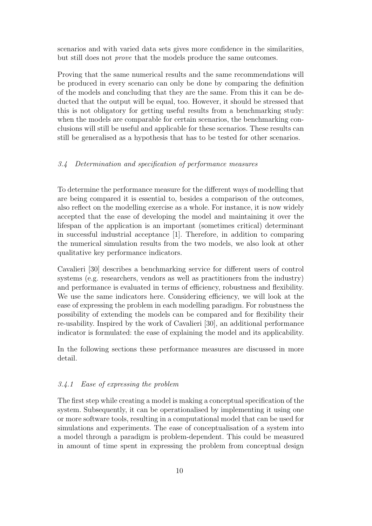scenarios and with varied data sets gives more confidence in the similarities, but still does not prove that the models produce the same outcomes.

Proving that the same numerical results and the same recommendations will be produced in every scenario can only be done by comparing the definition of the models and concluding that they are the same. From this it can be deducted that the output will be equal, too. However, it should be stressed that this is not obligatory for getting useful results from a benchmarking study: when the models are comparable for certain scenarios, the benchmarking conclusions will still be useful and applicable for these scenarios. These results can still be generalised as a hypothesis that has to be tested for other scenarios.

## 3.4 Determination and specification of performance measures

To determine the performance measure for the different ways of modelling that are being compared it is essential to, besides a comparison of the outcomes, also reflect on the modelling exercise as a whole. For instance, it is now widely accepted that the ease of developing the model and maintaining it over the lifespan of the application is an important (sometimes critical) determinant in successful industrial acceptance [1]. Therefore, in addition to comparing the numerical simulation results from the two models, we also look at other qualitative key performance indicators.

Cavalieri [30] describes a benchmarking service for different users of control systems (e.g. researchers, vendors as well as practitioners from the industry) and performance is evaluated in terms of efficiency, robustness and flexibility. We use the same indicators here. Considering efficiency, we will look at the ease of expressing the problem in each modelling paradigm. For robustness the possibility of extending the models can be compared and for flexibility their re-usability. Inspired by the work of Cavalieri [30], an additional performance indicator is formulated: the ease of explaining the model and its applicability.

In the following sections these performance measures are discussed in more detail.

## 3.4.1 Ease of expressing the problem

The first step while creating a model is making a conceptual specification of the system. Subsequently, it can be operationalised by implementing it using one or more software tools, resulting in a computational model that can be used for simulations and experiments. The ease of conceptualisation of a system into a model through a paradigm is problem-dependent. This could be measured in amount of time spent in expressing the problem from conceptual design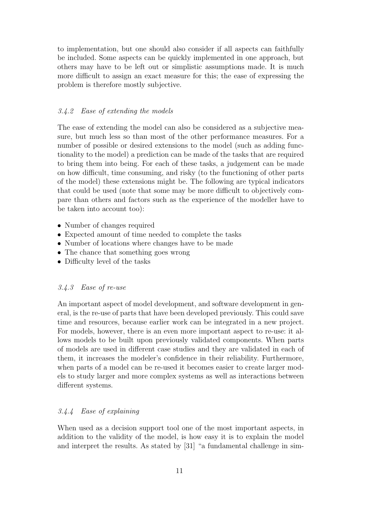to implementation, but one should also consider if all aspects can faithfully be included. Some aspects can be quickly implemented in one approach, but others may have to be left out or simplistic assumptions made. It is much more difficult to assign an exact measure for this; the ease of expressing the problem is therefore mostly subjective.

### 3.4.2 Ease of extending the models

The ease of extending the model can also be considered as a subjective measure, but much less so than most of the other performance measures. For a number of possible or desired extensions to the model (such as adding functionality to the model) a prediction can be made of the tasks that are required to bring them into being. For each of these tasks, a judgement can be made on how difficult, time consuming, and risky (to the functioning of other parts of the model) these extensions might be. The following are typical indicators that could be used (note that some may be more difficult to objectively compare than others and factors such as the experience of the modeller have to be taken into account too):

- Number of changes required
- Expected amount of time needed to complete the tasks
- Number of locations where changes have to be made
- The chance that something goes wrong
- Difficulty level of the tasks

## 3.4.3 Ease of re-use

An important aspect of model development, and software development in general, is the re-use of parts that have been developed previously. This could save time and resources, because earlier work can be integrated in a new project. For models, however, there is an even more important aspect to re-use: it allows models to be built upon previously validated components. When parts of models are used in different case studies and they are validated in each of them, it increases the modeler's confidence in their reliability. Furthermore, when parts of a model can be re-used it becomes easier to create larger models to study larger and more complex systems as well as interactions between different systems.

## 3.4.4 Ease of explaining

When used as a decision support tool one of the most important aspects, in addition to the validity of the model, is how easy it is to explain the model and interpret the results. As stated by [31] "a fundamental challenge in sim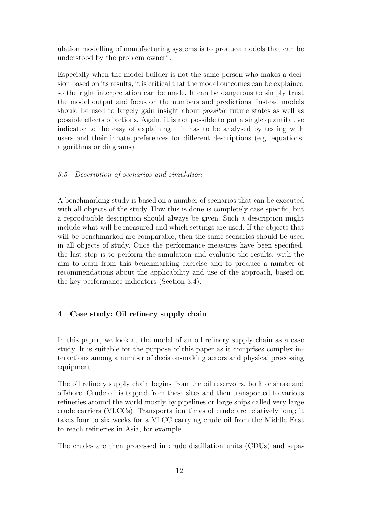ulation modelling of manufacturing systems is to produce models that can be understood by the problem owner".

Especially when the model-builder is not the same person who makes a decision based on its results, it is critical that the model outcomes can be explained so the right interpretation can be made. It can be dangerous to simply trust the model output and focus on the numbers and predictions. Instead models should be used to largely gain insight about possible future states as well as possible effects of actions. Again, it is not possible to put a single quantitative indicator to the easy of explaining  $-$  it has to be analysed by testing with users and their innate preferences for different descriptions (e.g. equations, algorithms or diagrams)

## 3.5 Description of scenarios and simulation

A benchmarking study is based on a number of scenarios that can be executed with all objects of the study. How this is done is completely case specific, but a reproducible description should always be given. Such a description might include what will be measured and which settings are used. If the objects that will be benchmarked are comparable, then the same scenarios should be used in all objects of study. Once the performance measures have been specified, the last step is to perform the simulation and evaluate the results, with the aim to learn from this benchmarking exercise and to produce a number of recommendations about the applicability and use of the approach, based on the key performance indicators (Section 3.4).

## 4 Case study: Oil refinery supply chain

In this paper, we look at the model of an oil refinery supply chain as a case study. It is suitable for the purpose of this paper as it comprises complex interactions among a number of decision-making actors and physical processing equipment.

The oil refinery supply chain begins from the oil reservoirs, both onshore and offshore. Crude oil is tapped from these sites and then transported to various refineries around the world mostly by pipelines or large ships called very large crude carriers (VLCCs). Transportation times of crude are relatively long; it takes four to six weeks for a VLCC carrying crude oil from the Middle East to reach refineries in Asia, for example.

The crudes are then processed in crude distillation units (CDUs) and sepa-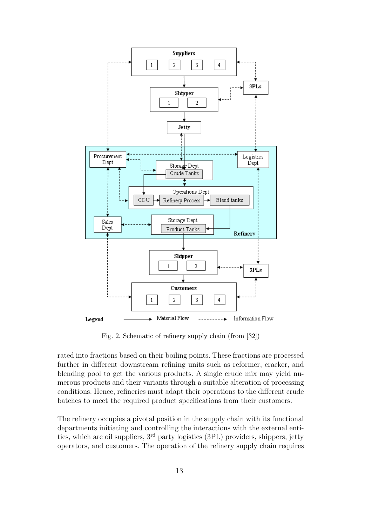

Fig. 2. Schematic of refinery supply chain (from [32])

rated into fractions based on their boiling points. These fractions are processed further in different downstream refining units such as reformer, cracker, and blending pool to get the various products. A single crude mix may yield numerous products and their variants through a suitable alteration of processing conditions. Hence, refineries must adapt their operations to the different crude batches to meet the required product specifications from their customers.

The refinery occupies a pivotal position in the supply chain with its functional departments initiating and controlling the interactions with the external entities, which are oil suppliers, 3rd party logistics (3PL) providers, shippers, jetty operators, and customers. The operation of the refinery supply chain requires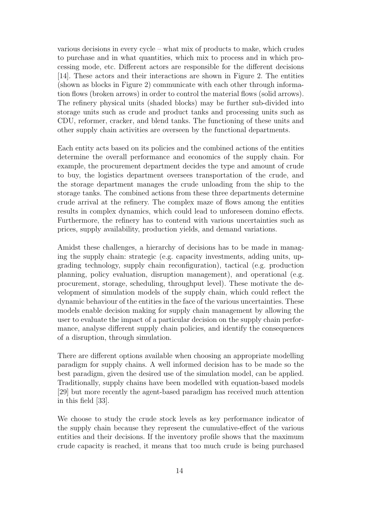various decisions in every cycle – what mix of products to make, which crudes to purchase and in what quantities, which mix to process and in which processing mode, etc. Different actors are responsible for the different decisions [14]. These actors and their interactions are shown in Figure 2. The entities (shown as blocks in Figure 2) communicate with each other through information flows (broken arrows) in order to control the material flows (solid arrows). The refinery physical units (shaded blocks) may be further sub-divided into storage units such as crude and product tanks and processing units such as CDU, reformer, cracker, and blend tanks. The functioning of these units and other supply chain activities are overseen by the functional departments.

Each entity acts based on its policies and the combined actions of the entities determine the overall performance and economics of the supply chain. For example, the procurement department decides the type and amount of crude to buy, the logistics department oversees transportation of the crude, and the storage department manages the crude unloading from the ship to the storage tanks. The combined actions from these three departments determine crude arrival at the refinery. The complex maze of flows among the entities results in complex dynamics, which could lead to unforeseen domino effects. Furthermore, the refinery has to contend with various uncertainties such as prices, supply availability, production yields, and demand variations.

Amidst these challenges, a hierarchy of decisions has to be made in managing the supply chain: strategic (e.g. capacity investments, adding units, upgrading technology, supply chain reconfiguration), tactical (e.g. production planning, policy evaluation, disruption management), and operational (e.g. procurement, storage, scheduling, throughput level). These motivate the development of simulation models of the supply chain, which could reflect the dynamic behaviour of the entities in the face of the various uncertainties. These models enable decision making for supply chain management by allowing the user to evaluate the impact of a particular decision on the supply chain performance, analyse different supply chain policies, and identify the consequences of a disruption, through simulation.

There are different options available when choosing an appropriate modelling paradigm for supply chains. A well informed decision has to be made so the best paradigm, given the desired use of the simulation model, can be applied. Traditionally, supply chains have been modelled with equation-based models [29] but more recently the agent-based paradigm has received much attention in this field [33].

We choose to study the crude stock levels as key performance indicator of the supply chain because they represent the cumulative-effect of the various entities and their decisions. If the inventory profile shows that the maximum crude capacity is reached, it means that too much crude is being purchased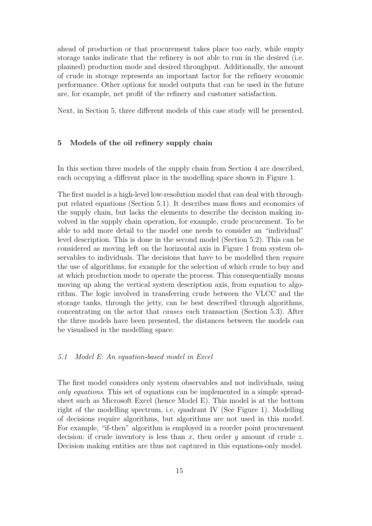ahead of production or that procurement takes place too early, while empty storage tanks indicate that the refinery is not able to run in the desired (i.e. planned) production mode and desired throughput. Additionally, the amount of crude in storage represents an important factor for the refinery economic performance. Other options for model outputs that can be used in the future are, for example, net profit of the refinery and customer satisfaction.

Next, in Section 5, three different models of this case study will be presented.

## 5 Models of the oil refinery supply chain

In this section three models of the supply chain from Section 4 are described, each occupying a different place in the modelling space shown in Figure 1.

The first model is a high-level low-resolution model that can deal with throughput related equations (Section 5.1). It describes mass flows and economics of the supply chain, but lacks the elements to describe the decision making involved in the supply chain operation, for example, crude procurement. To be able to add more detail to the model one needs to consider an "individual" level description. This is done in the second model (Section 5.2). This can be considered as moving left on the horizontal axis in Figure 1 from system observables to individuals. The decisions that have to be modelled then require the use of algorithms, for example for the selection of which crude to buy and at which production mode to operate the process. This consequentially means moving up along the vertical system description axis, from equation to algorithm. The logic involved in transferring crude between the VLCC and the storage tanks, through the jetty, can be best described through algorithms, concentrating on the actor that causes each transaction (Section 5.3). After the three models have been presented, the distances between the models can be visualised in the modelling space.

#### 5.1 Model E: An equation-based model in Excel

The first model considers only system observables and not individuals, using only equations. This set of equations can be implemented in a simple spreadsheet such as Microsoft Excel (hence Model E). This model is at the bottom right of the modelling spectrum, i.e. quadrant IV (See Figure 1). Modelling of decisions require algorithms, but algorithms are not used in this model. For example, "if-then" algorithm is employed in a reorder point procurement decision: if crude inventory is less than x, then order y amount of crude z. Decision making entities are thus not captured in this equations-only model.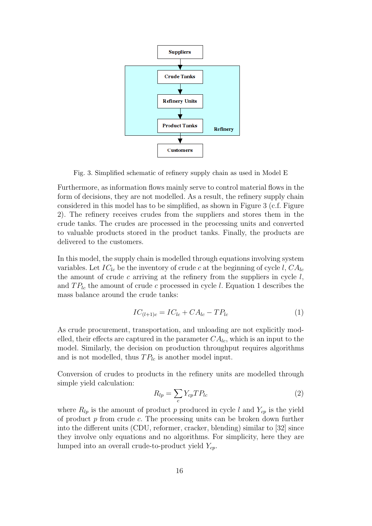

Fig. 3. Simplified schematic of refinery supply chain as used in Model E

Furthermore, as information flows mainly serve to control material flows in the form of decisions, they are not modelled. As a result, the refinery supply chain considered in this model has to be simplified, as shown in Figure 3 (c.f. Figure 2). The refinery receives crudes from the suppliers and stores them in the crude tanks. The crudes are processed in the processing units and converted to valuable products stored in the product tanks. Finally, the products are delivered to the customers.

In this model, the supply chain is modelled through equations involving system variables. Let  $IC_{lc}$  be the inventory of crude c at the beginning of cycle l,  $CA_{lc}$ the amount of crude  $c$  arriving at the refinery from the suppliers in cycle  $l$ , and  $TP_{lc}$  the amount of crude c processed in cycle l. Equation 1 describes the mass balance around the crude tanks:

$$
IC_{(l+1)c} = IC_{lc} + CA_{lc} - TP_{lc}
$$
\n(1)

As crude procurement, transportation, and unloading are not explicitly modelled, their effects are captured in the parameter  $CA_{lc}$ , which is an input to the model. Similarly, the decision on production throughput requires algorithms and is not modelled, thus  $TP_{lc}$  is another model input.

Conversion of crudes to products in the refinery units are modelled through simple yield calculation:

$$
R_{lp} = \sum_{c} Y_{cp} T P_{lc} \tag{2}
$$

where  $R_{lp}$  is the amount of product p produced in cycle l and  $Y_{cp}$  is the yield of product  $p$  from crude  $c$ . The processing units can be broken down further into the different units (CDU, reformer, cracker, blending) similar to [32] since they involve only equations and no algorithms. For simplicity, here they are lumped into an overall crude-to-product yield  $Y_{cp}$ .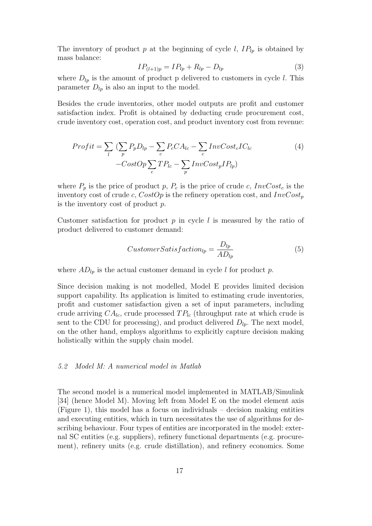The inventory of product p at the beginning of cycle l,  $IP_{lp}$  is obtained by mass balance:

$$
IP_{(l+1)p} = IP_{lp} + R_{lp} - D_{lp}
$$
\n(3)

where  $D_{lp}$  is the amount of product p delivered to customers in cycle l. This parameter  $D_{lp}$  is also an input to the model.

Besides the crude inventories, other model outputs are profit and customer satisfaction index. Profit is obtained by deducting crude procurement cost, crude inventory cost, operation cost, and product inventory cost from revenue:

$$
Profit = \sum_{l} (\sum_{p} P_{p} D_{lp} - \sum_{c} P_{c} C A_{lc} - \sum_{c} InvCost_{c} IC_{lc} - CostOp \sum_{c} TP_{lc} - \sum_{p} InvCost_{p} IP_{lp})
$$
\n
$$
(4)
$$

where  $P_p$  is the price of product p,  $P_c$  is the price of crude c,  $InvCost_c$  is the inventory cost of crude c,  $CostOp$  is the refinery operation cost, and  $InvCost_p$ is the inventory cost of product  $p$ .

Customer satisfaction for product  $p$  in cycle l is measured by the ratio of product delivered to customer demand:

$$
CustomerSatisfaction_{lp} = \frac{D_{lp}}{AD_{lp}}\tag{5}
$$

where  $AD_{lp}$  is the actual customer demand in cycle l for product p.

Since decision making is not modelled, Model E provides limited decision support capability. Its application is limited to estimating crude inventories, profit and customer satisfaction given a set of input parameters, including crude arriving  $CA_{lc}$ , crude processed  $TP_{lc}$  (throughput rate at which crude is sent to the CDU for processing), and product delivered  $D_{lp}$ . The next model, on the other hand, employs algorithms to explicitly capture decision making holistically within the supply chain model.

## 5.2 Model M: A numerical model in Matlab

The second model is a numerical model implemented in MATLAB/Simulink [34] (hence Model M). Moving left from Model E on the model element axis (Figure 1), this model has a focus on individuals – decision making entities and executing entities, which in turn necessitates the use of algorithms for describing behaviour. Four types of entities are incorporated in the model: external SC entities (e.g. suppliers), refinery functional departments (e.g. procurement), refinery units (e.g. crude distillation), and refinery economics. Some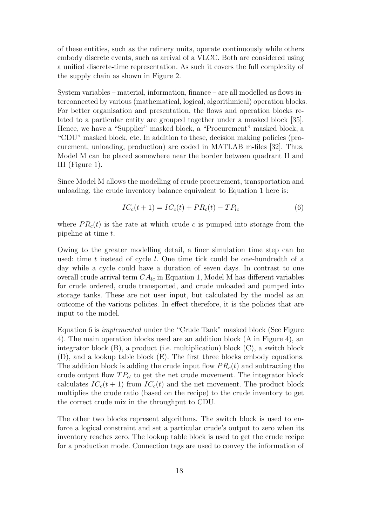of these entities, such as the refinery units, operate continuously while others embody discrete events, such as arrival of a VLCC. Both are considered using a unified discrete-time representation. As such it covers the full complexity of the supply chain as shown in Figure 2.

System variables – material, information, finance – are all modelled as flows interconnected by various (mathematical, logical, algorithmical) operation blocks. For better organisation and presentation, the flows and operation blocks related to a particular entity are grouped together under a masked block [35]. Hence, we have a "Supplier" masked block, a "Procurement" masked block, a "CDU" masked block, etc. In addition to these, decision making policies (procurement, unloading, production) are coded in MATLAB m-files [32]. Thus, Model M can be placed somewhere near the border between quadrant II and III (Figure 1).

Since Model M allows the modelling of crude procurement, transportation and unloading, the crude inventory balance equivalent to Equation 1 here is:

$$
IC_c(t+1) = IC_c(t) + PR_c(t) - TP_{lc}
$$
\n(6)

where  $PR_c(t)$  is the rate at which crude c is pumped into storage from the pipeline at time t.

Owing to the greater modelling detail, a finer simulation time step can be used: time  $t$  instead of cycle  $l$ . One time tick could be one-hundredth of a day while a cycle could have a duration of seven days. In contrast to one overall crude arrival term  $CA_{lc}$  in Equation 1, Model M has different variables for crude ordered, crude transported, and crude unloaded and pumped into storage tanks. These are not user input, but calculated by the model as an outcome of the various policies. In effect therefore, it is the policies that are input to the model.

Equation 6 is implemented under the "Crude Tank" masked block (See Figure 4). The main operation blocks used are an addition block (A in Figure 4), an integrator block (B), a product (i.e. multiplication) block (C), a switch block (D), and a lookup table block (E). The first three blocks embody equations. The addition block is adding the crude input flow  $PR<sub>c</sub>(t)$  and subtracting the crude output flow  $TP_{cl}$  to get the net crude movement. The integrator block calculates  $IC_c(t+1)$  from  $IC_c(t)$  and the net movement. The product block multiplies the crude ratio (based on the recipe) to the crude inventory to get the correct crude mix in the throughput to CDU.

The other two blocks represent algorithms. The switch block is used to enforce a logical constraint and set a particular crude's output to zero when its inventory reaches zero. The lookup table block is used to get the crude recipe for a production mode. Connection tags are used to convey the information of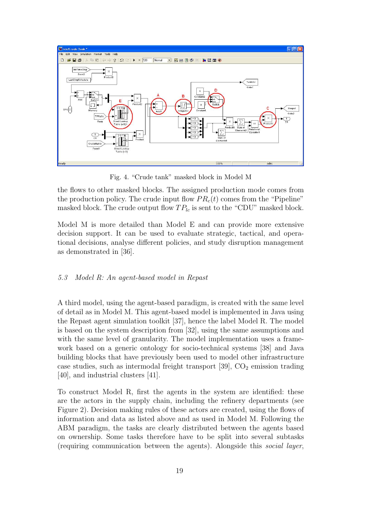

Fig. 4. "Crude tank" masked block in Model M

the flows to other masked blocks. The assigned production mode comes from the production policy. The crude input flow  $PR<sub>c</sub>(t)$  comes from the "Pipeline" masked block. The crude output flow  $TP_{lc}$  is sent to the "CDU" masked block.

Model M is more detailed than Model E and can provide more extensive decision support. It can be used to evaluate strategic, tactical, and operational decisions, analyse different policies, and study disruption management as demonstrated in [36].

#### 5.3 Model R: An agent-based model in Repast

A third model, using the agent-based paradigm, is created with the same level of detail as in Model M. This agent-based model is implemented in Java using the Repast agent simulation toolkit [37], hence the label Model R. The model is based on the system description from [32], using the same assumptions and with the same level of granularity. The model implementation uses a framework based on a generic ontology for socio-technical systems [38] and Java building blocks that have previously been used to model other infrastructure case studies, such as intermodal freight transport  $[39]$ ,  $CO<sub>2</sub>$  emission trading [40], and industrial clusters [41].

To construct Model R, first the agents in the system are identified: these are the actors in the supply chain, including the refinery departments (see Figure 2). Decision making rules of these actors are created, using the flows of information and data as listed above and as used in Model M. Following the ABM paradigm, the tasks are clearly distributed between the agents based on ownership. Some tasks therefore have to be split into several subtasks (requiring communication between the agents). Alongside this social layer,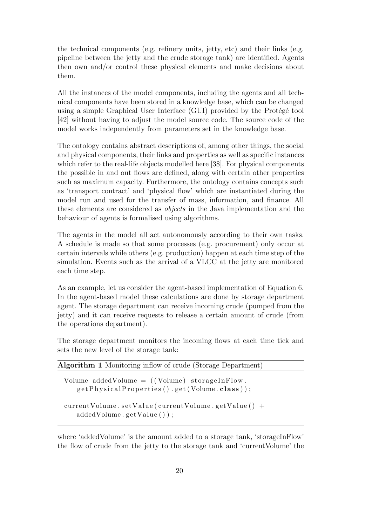the technical components (e.g. refinery units, jetty, etc) and their links (e.g. pipeline between the jetty and the crude storage tank) are identified. Agents then own and/or control these physical elements and make decisions about them.

All the instances of the model components, including the agents and all technical components have been stored in a knowledge base, which can be changed using a simple Graphical User Interface (GUI) provided by the Protégé tool [42] without having to adjust the model source code. The source code of the model works independently from parameters set in the knowledge base.

The ontology contains abstract descriptions of, among other things, the social and physical components, their links and properties as well as specific instances which refer to the real-life objects modelled here [38]. For physical components the possible in and out flows are defined, along with certain other properties such as maximum capacity. Furthermore, the ontology contains concepts such as 'transport contract' and 'physical flow' which are instantiated during the model run and used for the transfer of mass, information, and finance. All these elements are considered as objects in the Java implementation and the behaviour of agents is formalised using algorithms.

The agents in the model all act autonomously according to their own tasks. A schedule is made so that some processes (e.g. procurement) only occur at certain intervals while others (e.g. production) happen at each time step of the simulation. Events such as the arrival of a VLCC at the jetty are monitored each time step.

As an example, let us consider the agent-based implementation of Equation 6. In the agent-based model these calculations are done by storage department agent. The storage department can receive incoming crude (pumped from the jetty) and it can receive requests to release a certain amount of crude (from the operations department).

The storage department monitors the incoming flows at each time tick and sets the new level of the storage tank:

| <b>Algorithm 1</b> Monitoring inflow of crude (Storage Department)                            |
|-----------------------------------------------------------------------------------------------|
| Volume added Volume = $((Volume) storeInFlow.$<br>getPhysicalProperties().get(Volume.class)); |
| $currentVolume.setValue(currentVolume.getValue() +$<br>$addedVolume.getValue()$ ;             |

where 'addedVolume' is the amount added to a storage tank, 'storageInFlow' the flow of crude from the jetty to the storage tank and 'currentVolume' the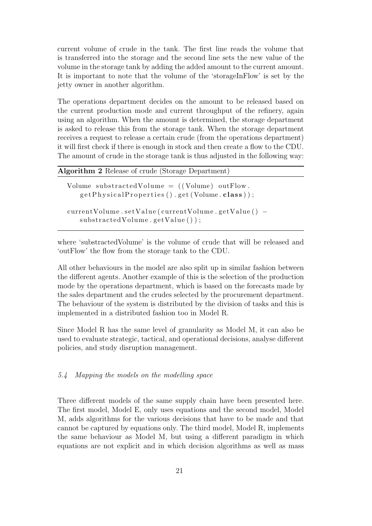current volume of crude in the tank. The first line reads the volume that is transferred into the storage and the second line sets the new value of the volume in the storage tank by adding the added amount to the current amount. It is important to note that the volume of the 'storageInFlow' is set by the jetty owner in another algorithm.

The operations department decides on the amount to be released based on the current production mode and current throughput of the refinery, again using an algorithm. When the amount is determined, the storage department is asked to release this from the storage tank. When the storage department receives a request to release a certain crude (from the operations department) it will first check if there is enough in stock and then create a flow to the CDU. The amount of crude in the storage tank is thus adjusted in the following way:

|  |  |  |  | <b>Algorithm 2</b> Release of crude (Storage Department) |  |
|--|--|--|--|----------------------------------------------------------|--|
|--|--|--|--|----------------------------------------------------------|--|

```
Volume substractedVolume = ((Volume) outFlow.
getPhysicalProperties() . get (Volume. class);
```

```
currentVolume.setValue (currentVolume.getValue() -substackedVolume.getValue();
```
where 'substractedVolume' is the volume of crude that will be released and 'outFlow' the flow from the storage tank to the CDU.

All other behaviours in the model are also split up in similar fashion between the different agents. Another example of this is the selection of the production mode by the operations department, which is based on the forecasts made by the sales department and the crudes selected by the procurement department. The behaviour of the system is distributed by the division of tasks and this is implemented in a distributed fashion too in Model R.

Since Model R has the same level of granularity as Model M, it can also be used to evaluate strategic, tactical, and operational decisions, analyse different policies, and study disruption management.

## 5.4 Mapping the models on the modelling space

Three different models of the same supply chain have been presented here. The first model, Model E, only uses equations and the second model, Model M, adds algorithms for the various decisions that have to be made and that cannot be captured by equations only. The third model, Model R, implements the same behaviour as Model M, but using a different paradigm in which equations are not explicit and in which decision algorithms as well as mass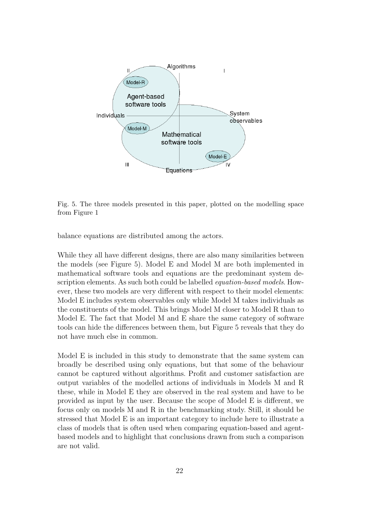

Fig. 5. The three models presented in this paper, plotted on the modelling space from Figure 1

balance equations are distributed among the actors.

While they all have different designs, there are also many similarities between the models (see Figure 5). Model E and Model M are both implemented in mathematical software tools and equations are the predominant system description elements. As such both could be labelled equation-based models. However, these two models are very different with respect to their model elements: Model E includes system observables only while Model M takes individuals as the constituents of the model. This brings Model M closer to Model R than to Model E. The fact that Model M and E share the same category of software tools can hide the differences between them, but Figure 5 reveals that they do not have much else in common.

Model E is included in this study to demonstrate that the same system can broadly be described using only equations, but that some of the behaviour cannot be captured without algorithms. Profit and customer satisfaction are output variables of the modelled actions of individuals in Models M and R these, while in Model E they are observed in the real system and have to be provided as input by the user. Because the scope of Model E is different, we focus only on models M and R in the benchmarking study. Still, it should be stressed that Model E is an important category to include here to illustrate a class of models that is often used when comparing equation-based and agentbased models and to highlight that conclusions drawn from such a comparison are not valid.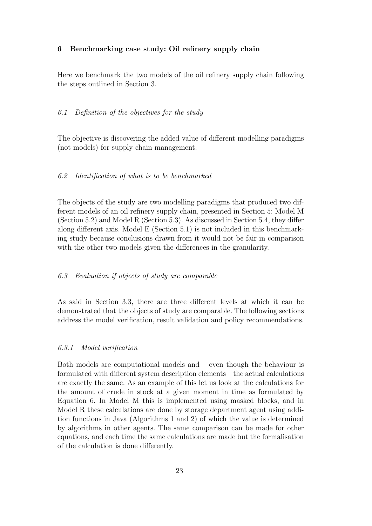## 6 Benchmarking case study: Oil refinery supply chain

Here we benchmark the two models of the oil refinery supply chain following the steps outlined in Section 3.

## 6.1 Definition of the objectives for the study

The objective is discovering the added value of different modelling paradigms (not models) for supply chain management.

# 6.2 Identification of what is to be benchmarked

The objects of the study are two modelling paradigms that produced two different models of an oil refinery supply chain, presented in Section 5: Model M (Section 5.2) and Model R (Section 5.3). As discussed in Section 5.4, they differ along different axis. Model E (Section 5.1) is not included in this benchmarking study because conclusions drawn from it would not be fair in comparison with the other two models given the differences in the granularity.

#### 6.3 Evaluation if objects of study are comparable

As said in Section 3.3, there are three different levels at which it can be demonstrated that the objects of study are comparable. The following sections address the model verification, result validation and policy recommendations.

### 6.3.1 Model verification

Both models are computational models and – even though the behaviour is formulated with different system description elements – the actual calculations are exactly the same. As an example of this let us look at the calculations for the amount of crude in stock at a given moment in time as formulated by Equation 6. In Model M this is implemented using masked blocks, and in Model R these calculations are done by storage department agent using addition functions in Java (Algorithms 1 and 2) of which the value is determined by algorithms in other agents. The same comparison can be made for other equations, and each time the same calculations are made but the formalisation of the calculation is done differently.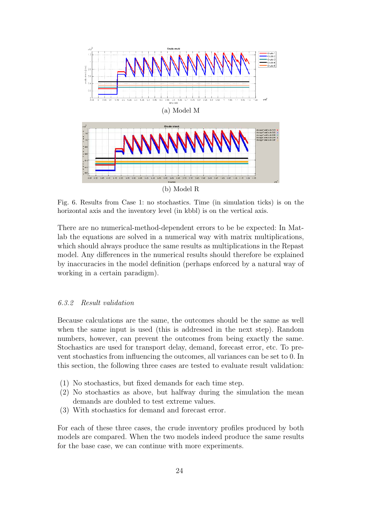

(b) Model R

Fig. 6. Results from Case 1: no stochastics. Time (in simulation ticks) is on the horizontal axis and the inventory level (in kbbl) is on the vertical axis.

There are no numerical-method-dependent errors to be be expected: In Matlab the equations are solved in a numerical way with matrix multiplications, which should always produce the same results as multiplications in the Repast model. Any differences in the numerical results should therefore be explained by inaccuracies in the model definition (perhaps enforced by a natural way of working in a certain paradigm).

## 6.3.2 Result validation

Because calculations are the same, the outcomes should be the same as well when the same input is used (this is addressed in the next step). Random numbers, however, can prevent the outcomes from being exactly the same. Stochastics are used for transport delay, demand, forecast error, etc. To prevent stochastics from influencing the outcomes, all variances can be set to 0. In this section, the following three cases are tested to evaluate result validation:

- (1) No stochastics, but fixed demands for each time step.
- (2) No stochastics as above, but halfway during the simulation the mean demands are doubled to test extreme values.
- (3) With stochastics for demand and forecast error.

For each of these three cases, the crude inventory profiles produced by both models are compared. When the two models indeed produce the same results for the base case, we can continue with more experiments.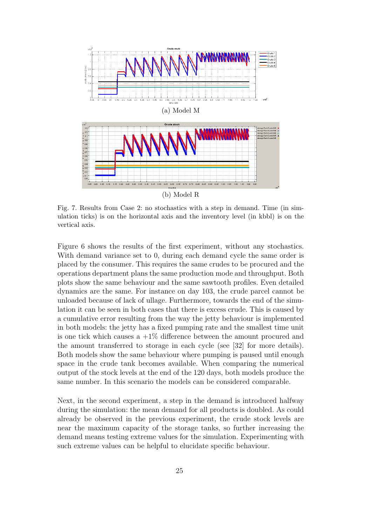

(b) Model R

Fig. 7. Results from Case 2: no stochastics with a step in demand. Time (in simulation ticks) is on the horizontal axis and the inventory level (in kbbl) is on the vertical axis.

Figure 6 shows the results of the first experiment, without any stochastics. With demand variance set to 0, during each demand cycle the same order is placed by the consumer. This requires the same crudes to be procured and the operations department plans the same production mode and throughput. Both plots show the same behaviour and the same sawtooth profiles. Even detailed dynamics are the same. For instance on day 103, the crude parcel cannot be unloaded because of lack of ullage. Furthermore, towards the end of the simulation it can be seen in both cases that there is excess crude. This is caused by a cumulative error resulting from the way the jetty behaviour is implemented in both models: the jetty has a fixed pumping rate and the smallest time unit is one tick which causes a  $+1\%$  difference between the amount procured and the amount transferred to storage in each cycle (see [32] for more details). Both models show the same behaviour where pumping is paused until enough space in the crude tank becomes available. When comparing the numerical output of the stock levels at the end of the 120 days, both models produce the same number. In this scenario the models can be considered comparable.

Next, in the second experiment, a step in the demand is introduced halfway during the simulation: the mean demand for all products is doubled. As could already be observed in the previous experiment, the crude stock levels are near the maximum capacity of the storage tanks, so further increasing the demand means testing extreme values for the simulation. Experimenting with such extreme values can be helpful to elucidate specific behaviour.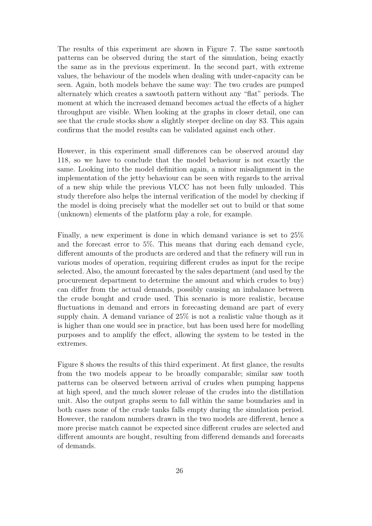The results of this experiment are shown in Figure 7. The same sawtooth patterns can be observed during the start of the simulation, being exactly the same as in the previous experiment. In the second part, with extreme values, the behaviour of the models when dealing with under-capacity can be seen. Again, both models behave the same way: The two crudes are pumped alternately which creates a sawtooth pattern without any "flat" periods. The moment at which the increased demand becomes actual the effects of a higher throughput are visible. When looking at the graphs in closer detail, one can see that the crude stocks show a slightly steeper decline on day 83. This again confirms that the model results can be validated against each other.

However, in this experiment small differences can be observed around day 118, so we have to conclude that the model behaviour is not exactly the same. Looking into the model definition again, a minor misalignment in the implementation of the jetty behaviour can be seen with regards to the arrival of a new ship while the previous VLCC has not been fully unloaded. This study therefore also helps the internal verification of the model by checking if the model is doing precisely what the modeller set out to build or that some (unknown) elements of the platform play a role, for example.

Finally, a new experiment is done in which demand variance is set to 25% and the forecast error to 5%. This means that during each demand cycle, different amounts of the products are ordered and that the refinery will run in various modes of operation, requiring different crudes as input for the recipe selected. Also, the amount forecasted by the sales department (and used by the procurement department to determine the amount and which crudes to buy) can differ from the actual demands, possibly causing an imbalance between the crude bought and crude used. This scenario is more realistic, because fluctuations in demand and errors in forecasting demand are part of every supply chain. A demand variance of 25% is not a realistic value though as it is higher than one would see in practice, but has been used here for modelling purposes and to amplify the effect, allowing the system to be tested in the extremes.

Figure 8 shows the results of this third experiment. At first glance, the results from the two models appear to be broadly comparable; similar saw tooth patterns can be observed between arrival of crudes when pumping happens at high speed, and the much slower release of the crudes into the distillation unit. Also the output graphs seem to fall within the same boundaries and in both cases none of the crude tanks falls empty during the simulation period. However, the random numbers drawn in the two models are different, hence a more precise match cannot be expected since different crudes are selected and different amounts are bought, resulting from differend demands and forecasts of demands.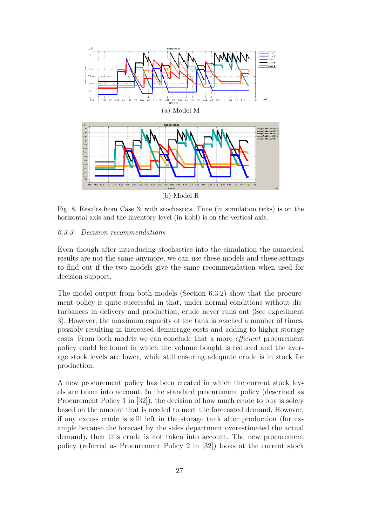

Fig. 8. Results from Case 3: with stochastics. Time (in simulation ticks) is on the horizontal axis and the inventory level (in kbbl) is on the vertical axis.

## 6.3.3 Decision recommendations

Even though after introducing stochastics into the simulation the numerical results are not the same anymore, we can use these models and these settings to find out if the two models give the same recommendation when used for decision support.

The model output from both models (Section 6.3.2) show that the procurement policy is quite successful in that, under normal conditions without disturbances in delivery and production, crude never runs out (See experiment 3). However, the maximum capacity of the tank is reached a number of times, possibly resulting in increased demurrage costs and adding to higher storage costs. From both models we can conclude that a more *efficient* procurement policy could be found in which the volume bought is reduced and the average stock levels are lower, while still ensuring adequate crude is in stock for production.

A new procurement policy has been created in which the current stock levels are taken into account. In the standard procurement policy (described as Procurement Policy 1 in [32]), the decision of how much crude to buy is solely based on the amount that is needed to meet the forecasted demand. However, if any excess crude is still left in the storage tank after production (for example because the forecast by the sales department overestimated the actual demand), then this crude is not taken into account. The new procurement policy (referred as Procurement Policy 2 in [32]) looks at the current stock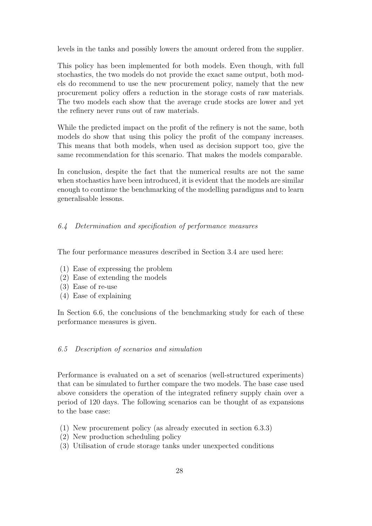levels in the tanks and possibly lowers the amount ordered from the supplier.

This policy has been implemented for both models. Even though, with full stochastics, the two models do not provide the exact same output, both models do recommend to use the new procurement policy, namely that the new procurement policy offers a reduction in the storage costs of raw materials. The two models each show that the average crude stocks are lower and yet the refinery never runs out of raw materials.

While the predicted impact on the profit of the refinery is not the same, both models do show that using this policy the profit of the company increases. This means that both models, when used as decision support too, give the same recommendation for this scenario. That makes the models comparable.

In conclusion, despite the fact that the numerical results are not the same when stochastics have been introduced, it is evident that the models are similar enough to continue the benchmarking of the modelling paradigms and to learn generalisable lessons.

## 6.4 Determination and specification of performance measures

The four performance measures described in Section 3.4 are used here:

- (1) Ease of expressing the problem
- (2) Ease of extending the models
- (3) Ease of re-use
- (4) Ease of explaining

In Section 6.6, the conclusions of the benchmarking study for each of these performance measures is given.

#### 6.5 Description of scenarios and simulation

Performance is evaluated on a set of scenarios (well-structured experiments) that can be simulated to further compare the two models. The base case used above considers the operation of the integrated refinery supply chain over a period of 120 days. The following scenarios can be thought of as expansions to the base case:

- (1) New procurement policy (as already executed in section 6.3.3)
- (2) New production scheduling policy
- (3) Utilisation of crude storage tanks under unexpected conditions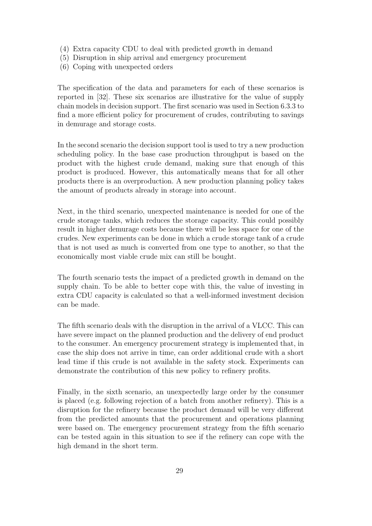- (4) Extra capacity CDU to deal with predicted growth in demand
- (5) Disruption in ship arrival and emergency procurement
- (6) Coping with unexpected orders

The specification of the data and parameters for each of these scenarios is reported in [32]. These six scenarios are illustrative for the value of supply chain models in decision support. The first scenario was used in Section 6.3.3 to find a more efficient policy for procurement of crudes, contributing to savings in demurage and storage costs.

In the second scenario the decision support tool is used to try a new production scheduling policy. In the base case production throughput is based on the product with the highest crude demand, making sure that enough of this product is produced. However, this automatically means that for all other products there is an overproduction. A new production planning policy takes the amount of products already in storage into account.

Next, in the third scenario, unexpected maintenance is needed for one of the crude storage tanks, which reduces the storage capacity. This could possibly result in higher demurage costs because there will be less space for one of the crudes. New experiments can be done in which a crude storage tank of a crude that is not used as much is converted from one type to another, so that the economically most viable crude mix can still be bought.

The fourth scenario tests the impact of a predicted growth in demand on the supply chain. To be able to better cope with this, the value of investing in extra CDU capacity is calculated so that a well-informed investment decision can be made.

The fifth scenario deals with the disruption in the arrival of a VLCC. This can have severe impact on the planned production and the delivery of end product to the consumer. An emergency procurement strategy is implemented that, in case the ship does not arrive in time, can order additional crude with a short lead time if this crude is not available in the safety stock. Experiments can demonstrate the contribution of this new policy to refinery profits.

Finally, in the sixth scenario, an unexpectedly large order by the consumer is placed (e.g. following rejection of a batch from another refinery). This is a disruption for the refinery because the product demand will be very different from the predicted amounts that the procurement and operations planning were based on. The emergency procurement strategy from the fifth scenario can be tested again in this situation to see if the refinery can cope with the high demand in the short term.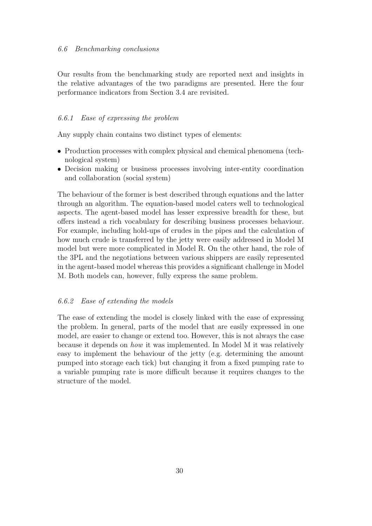#### 6.6 Benchmarking conclusions

Our results from the benchmarking study are reported next and insights in the relative advantages of the two paradigms are presented. Here the four performance indicators from Section 3.4 are revisited.

## 6.6.1 Ease of expressing the problem

Any supply chain contains two distinct types of elements:

- Production processes with complex physical and chemical phenomena (technological system)
- Decision making or business processes involving inter-entity coordination and collaboration (social system)

The behaviour of the former is best described through equations and the latter through an algorithm. The equation-based model caters well to technological aspects. The agent-based model has lesser expressive breadth for these, but offers instead a rich vocabulary for describing business processes behaviour. For example, including hold-ups of crudes in the pipes and the calculation of how much crude is transferred by the jetty were easily addressed in Model M model but were more complicated in Model R. On the other hand, the role of the 3PL and the negotiations between various shippers are easily represented in the agent-based model whereas this provides a significant challenge in Model M. Both models can, however, fully express the same problem.

## 6.6.2 Ease of extending the models

The ease of extending the model is closely linked with the ease of expressing the problem. In general, parts of the model that are easily expressed in one model, are easier to change or extend too. However, this is not always the case because it depends on how it was implemented. In Model M it was relatively easy to implement the behaviour of the jetty (e.g. determining the amount pumped into storage each tick) but changing it from a fixed pumping rate to a variable pumping rate is more difficult because it requires changes to the structure of the model.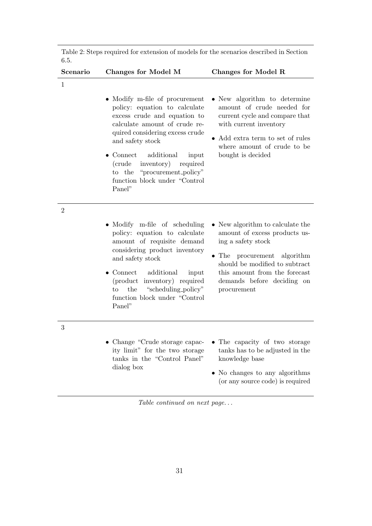| Scenario       | <b>Changes for Model M</b>                                                                                                                                                                                                                                                                                                                        | Changes for Model R                                                                                                                                                                                                                               |  |
|----------------|---------------------------------------------------------------------------------------------------------------------------------------------------------------------------------------------------------------------------------------------------------------------------------------------------------------------------------------------------|---------------------------------------------------------------------------------------------------------------------------------------------------------------------------------------------------------------------------------------------------|--|
| 1              | • Modify m-file of procurement<br>policy: equation to calculate<br>excess crude and equation to<br>calculate amount of crude re-<br>quired considering excess crude<br>and safety stock<br>$\bullet$ Connect<br>additional<br>input<br>(crude<br>inventory)<br>required<br>to the "procurement_policy"<br>function block under "Control<br>Panel" | • New algorithm to determine<br>amount of crude needed for<br>current cycle and compare that<br>with current inventory<br>• Add extra term to set of rules<br>where amount of crude to be<br>bought is decided                                    |  |
| $\overline{2}$ | • Modify m-file of scheduling<br>policy: equation to calculate<br>amount of requisite demand<br>considering product inventory<br>and safety stock<br>additional<br>$\bullet$ Connect<br>input<br>(product)<br>inventory) required<br>"scheduling_policy"<br>the<br>to<br>function block under "Control<br>Panel"                                  | • New algorithm to calculate the<br>amount of excess products us-<br>ing a safety stock<br>$\bullet$ The procurement<br>algorithm<br>should be modified to subtract<br>this amount from the forecast<br>demands before deciding on<br>procurement |  |
| $\sqrt{3}$     | ity limit" for the two storage<br>tanks in the "Control Panel"<br>dialog box                                                                                                                                                                                                                                                                      | Change "Crude storage capac- • The capacity of two storage<br>tanks has to be adjusted in the<br>knowledge base<br>• No changes to any algorithms<br>(or any source code) is required                                                             |  |

Table 2: Steps required for extension of models for the scenarios described in Section 6.5.

Table continued on next page. . .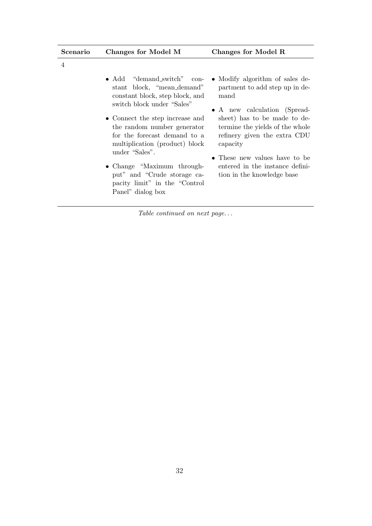| Scenario | Changes for Model M                                                                                                                                                                                                                                                                                                                                                                                      | Changes for Model R                                                                                                                                                                                                                                                                                                        |
|----------|----------------------------------------------------------------------------------------------------------------------------------------------------------------------------------------------------------------------------------------------------------------------------------------------------------------------------------------------------------------------------------------------------------|----------------------------------------------------------------------------------------------------------------------------------------------------------------------------------------------------------------------------------------------------------------------------------------------------------------------------|
| 4        | • Add "demand_switch"<br>$con-$<br>stant block, "mean_demand"<br>constant block, step block, and<br>switch block under "Sales"<br>• Connect the step increase and<br>the random number generator<br>for the forecast demand to a<br>multiplication (product) block<br>under "Sales".<br>• Change "Maximum through-<br>put" and "Crude storage ca-<br>pacity limit" in the "Control"<br>Panel" dialog box | • Modify algorithm of sales de-<br>partment to add step up in de-<br>mand<br>• A new calculation (Spread-<br>sheet) has to be made to de-<br>termine the yields of the whole<br>refinery given the extra CDU<br>capacity<br>• These new values have to be<br>entered in the instance defini-<br>tion in the knowledge base |
|          | Table continued on next page                                                                                                                                                                                                                                                                                                                                                                             |                                                                                                                                                                                                                                                                                                                            |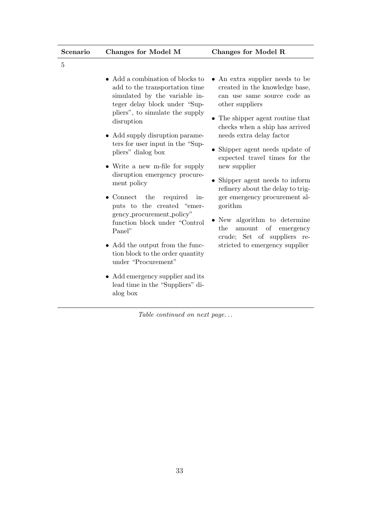| Scenario                     | <b>Changes for Model M</b>                                                                                                                                                                                                                                                                                                                                                                                                         | <b>Changes for Model R</b>                                                                                                                                                                                                                                                                                                          |  |
|------------------------------|------------------------------------------------------------------------------------------------------------------------------------------------------------------------------------------------------------------------------------------------------------------------------------------------------------------------------------------------------------------------------------------------------------------------------------|-------------------------------------------------------------------------------------------------------------------------------------------------------------------------------------------------------------------------------------------------------------------------------------------------------------------------------------|--|
| $\overline{5}$               | Add a combination of blocks to<br>add to the transportation time<br>simulated by the variable in-<br>teger delay block under "Sup-<br>pliers", to simulate the supply<br>disruption<br>• Add supply disruption parame-<br>ters for user input in the "Sup-                                                                                                                                                                         | An extra supplier needs to be<br>created in the knowledge base,<br>can use same source code as<br>other suppliers<br>• The shipper agent routine that<br>checks when a ship has arrived<br>needs extra delay factor                                                                                                                 |  |
|                              | pliers" dialog box<br>• Write a new m-file for supply<br>disruption emergency procure-<br>ment policy<br>the<br>Connect<br>required<br>in-<br>puts to the created "emer-<br>gency_procurement_policy"<br>function block under "Control<br>Panel"<br>• Add the output from the func-<br>tion block to the order quantity<br>under "Procurement"<br>• Add emergency supplier and its<br>lead time in the "Suppliers" di-<br>alog box | Shipper agent needs update of<br>expected travel times for the<br>new supplier<br>Shipper agent needs to inform<br>refinery about the delay to trig-<br>ger emergency procurement al-<br>gorithm<br>New algorithm to determine<br>the<br>amount<br>of<br>emergency<br>crude; Set of suppliers re-<br>stricted to emergency supplier |  |
| Table continued on next page |                                                                                                                                                                                                                                                                                                                                                                                                                                    |                                                                                                                                                                                                                                                                                                                                     |  |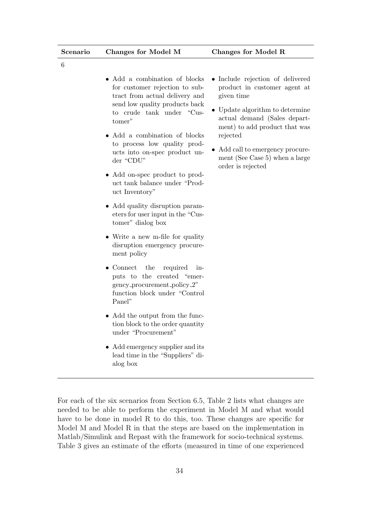| Scenario | <b>Changes for Model M</b>                                                                                                                                                                                                                                                                                                                                                           | <b>Changes for Model R</b>                                                                                                                                                                                                                                                                |
|----------|--------------------------------------------------------------------------------------------------------------------------------------------------------------------------------------------------------------------------------------------------------------------------------------------------------------------------------------------------------------------------------------|-------------------------------------------------------------------------------------------------------------------------------------------------------------------------------------------------------------------------------------------------------------------------------------------|
| 6        | • Add a combination of blocks<br>for customer rejection to sub-<br>tract from actual delivery and<br>send low quality products back<br>to crude tank under "Cus-<br>$\mbox{tomer}$<br>Add a combination of blocks<br>to process low quality prod-<br>ucts into on-spec product un-<br>der "CDU"<br>• Add on-spec product to prod-<br>uct tank balance under "Prod-<br>uct Inventory" | • Include rejection of delivered<br>product in customer agent at<br>given time<br>• Update algorithm to determine<br>actual demand (Sales depart-<br>ment) to add product that was<br>rejected<br>• Add call to emergency procure-<br>ment (See Case 5) when a large<br>order is rejected |
|          | • Add quality disruption param-<br>eters for user input in the "Cus-<br>tomer" dialog box<br>• Write a new m-file for quality                                                                                                                                                                                                                                                        |                                                                                                                                                                                                                                                                                           |
|          | disruption emergency procure-<br>ment policy                                                                                                                                                                                                                                                                                                                                         |                                                                                                                                                                                                                                                                                           |
|          | $\bullet$ Connect<br>the<br>required<br>in-<br>puts to the created "emer-<br>gency_procurement_policy_2"<br>function block under "Control<br>Panel"                                                                                                                                                                                                                                  |                                                                                                                                                                                                                                                                                           |
|          | • Add the output from the func-<br>tion block to the order quantity<br>under "Procurement"                                                                                                                                                                                                                                                                                           |                                                                                                                                                                                                                                                                                           |
|          | • Add emergency supplier and its<br>lead time in the "Suppliers" di-<br>alog box                                                                                                                                                                                                                                                                                                     |                                                                                                                                                                                                                                                                                           |
|          |                                                                                                                                                                                                                                                                                                                                                                                      |                                                                                                                                                                                                                                                                                           |

For each of the six scenarios from Section 6.5, Table 2 lists what changes are needed to be able to perform the experiment in Model M and what would have to be done in model R to do this, too. These changes are specific for Model M and Model R in that the steps are based on the implementation in Matlab/Simulink and Repast with the framework for socio-technical systems. Table 3 gives an estimate of the efforts (measured in time of one experienced

 $\frac{1}{2}$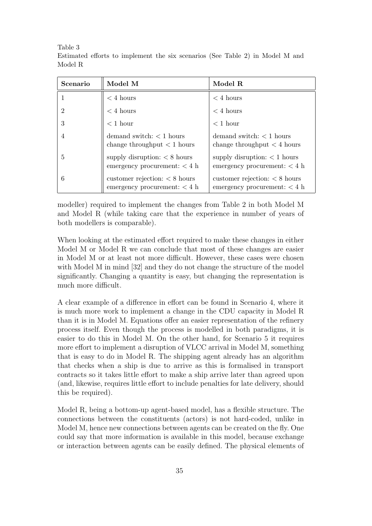Table 3

| <b>Scenario</b> | Model M                                                           | Model R                                                           |
|-----------------|-------------------------------------------------------------------|-------------------------------------------------------------------|
|                 | $<$ 4 hours                                                       | $<$ 4 hours                                                       |
| $\overline{2}$  | $<$ 4 hours                                                       | $<$ 4 hours                                                       |
| 3               | $<$ 1 hour                                                        | $<$ 1 hour                                                        |
| $\overline{4}$  | demand switch: $<$ 1 hours<br>change throughput $<$ 1 hours       | demand switch: $<$ 1 hours<br>change throughput $<$ 4 hours       |
| 5               | supply disruption: $< 8$ hours<br>emergency procurement: $< 4 h$  | supply disruption: $<$ 1 hours<br>emergency procurement: $< 4 h$  |
| 6               | customer rejection: $< 8$ hours<br>emergency procurement: $< 4 h$ | customer rejection: $< 8$ hours<br>emergency procurement: $< 4 h$ |

Estimated efforts to implement the six scenarios (See Table 2) in Model M and Model R

modeller) required to implement the changes from Table 2 in both Model M and Model R (while taking care that the experience in number of years of both modellers is comparable).

When looking at the estimated effort required to make these changes in either Model M or Model R we can conclude that most of these changes are easier in Model M or at least not more difficult. However, these cases were chosen with Model M in mind [32] and they do not change the structure of the model significantly. Changing a quantity is easy, but changing the representation is much more difficult.

A clear example of a difference in effort can be found in Scenario 4, where it is much more work to implement a change in the CDU capacity in Model R than it is in Model M. Equations offer an easier representation of the refinery process itself. Even though the process is modelled in both paradigms, it is easier to do this in Model M. On the other hand, for Scenario 5 it requires more effort to implement a disruption of VLCC arrival in Model M, something that is easy to do in Model R. The shipping agent already has an algorithm that checks when a ship is due to arrive as this is formalised in transport contracts so it takes little effort to make a ship arrive later than agreed upon (and, likewise, requires little effort to include penalties for late delivery, should this be required).

Model R, being a bottom-up agent-based model, has a flexible structure. The connections between the constituents (actors) is not hard-coded, unlike in Model M, hence new connections between agents can be created on the fly. One could say that more information is available in this model, because exchange or interaction between agents can be easily defined. The physical elements of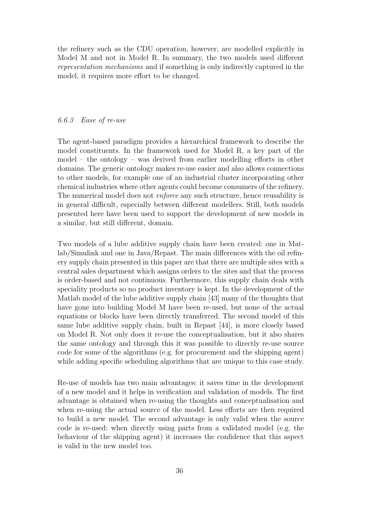the refinery such as the CDU operation, however, are modelled explicitly in Model M and not in Model R. In summary, the two models used different representation mechanisms and if something is only indirectly captured in the model, it requires more effort to be changed.

## 6.6.3 Ease of re-use

The agent-based paradigm provides a hierarchical framework to describe the model constituents. In the framework used for Model R, a key part of the model – the ontology – was derived from earlier modelling efforts in other domains. The generic ontology makes re-use easier and also allows connections to other models, for example one of an industrial cluster incorporating other chemical industries where other agents could become consumers of the refinery. The numerical model does not *enforce* any such structure, hence reusability is in general difficult, especially between different modellers. Still, both models presented here have been used to support the development of new models in a similar, but still different, domain.

Two models of a lube additive supply chain have been created: one in Matlab/Simulink and one in Java/Repast. The main differences with the oil refinery supply chain presented in this paper are that there are multiple sites with a central sales department which assigns orders to the sites and that the process is order-based and not continuous. Furthermore, this supply chain deals with speciality products so no product inventory is kept. In the development of the Matlab model of the lube additive supply chain [43] many of the thoughts that have gone into building Model M have been re-used, but none of the actual equations or blocks have been directly transferred. The second model of this same lube additive supply chain, built in Repast [44], is more closely based on Model R. Not only does it re-use the conceptualisation, but it also shares the same ontology and through this it was possible to directly re-use source code for some of the algorithms (e.g. for procurement and the shipping agent) while adding specific scheduling algorithms that are unique to this case study.

Re-use of models has two main advantages: it saves time in the development of a new model and it helps in verification and validation of models. The first advantage is obtained when re-using the thoughts and conceptualisation and when re-using the actual source of the model. Less efforts are then required to build a new model. The second advantage is only valid when the source code is re-used: when directly using parts from a validated model (e.g. the behaviour of the shipping agent) it increases the confidence that this aspect is valid in the new model too.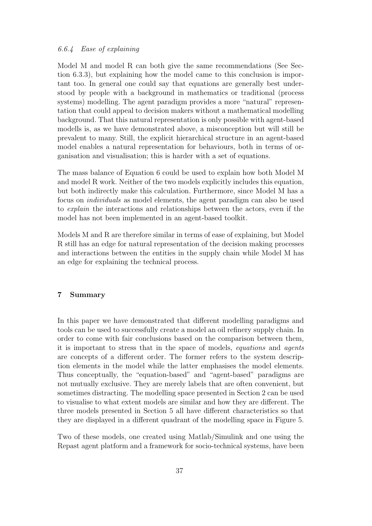## 6.6.4 Ease of explaining

Model M and model R can both give the same recommendations (See Section 6.3.3), but explaining how the model came to this conclusion is important too. In general one could say that equations are generally best understood by people with a background in mathematics or traditional (process systems) modelling. The agent paradigm provides a more "natural" representation that could appeal to decision makers without a mathematical modelling background. That this natural representation is only possible with agent-based modells is, as we have demonstrated above, a misconception but will still be prevalent to many. Still, the explicit hierarchical structure in an agent-based model enables a natural representation for behaviours, both in terms of organisation and visualisation; this is harder with a set of equations.

The mass balance of Equation 6 could be used to explain how both Model M and model R work. Neither of the two models explicitly includes this equation, but both indirectly make this calculation. Furthermore, since Model M has a focus on individuals as model elements, the agent paradigm can also be used to explain the interactions and relationships between the actors, even if the model has not been implemented in an agent-based toolkit.

Models M and R are therefore similar in terms of ease of explaining, but Model R still has an edge for natural representation of the decision making processes and interactions between the entities in the supply chain while Model M has an edge for explaining the technical process.

## 7 Summary

In this paper we have demonstrated that different modelling paradigms and tools can be used to successfully create a model an oil refinery supply chain. In order to come with fair conclusions based on the comparison between them, it is important to stress that in the space of models, equations and agents are concepts of a different order. The former refers to the system description elements in the model while the latter emphasises the model elements. Thus conceptually, the "equation-based" and "agent-based" paradigms are not mutually exclusive. They are merely labels that are often convenient, but sometimes distracting. The modelling space presented in Section 2 can be used to visualise to what extent models are similar and how they are different. The three models presented in Section 5 all have different characteristics so that they are displayed in a different quadrant of the modelling space in Figure 5.

Two of these models, one created using Matlab/Simulink and one using the Repast agent platform and a framework for socio-technical systems, have been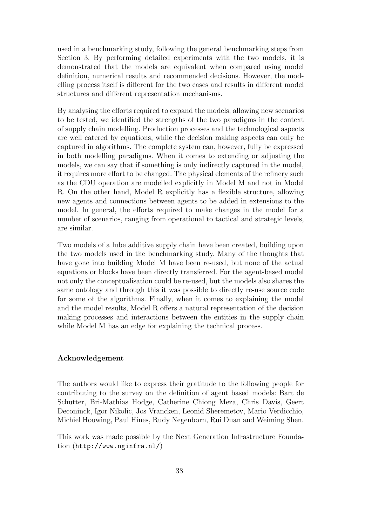used in a benchmarking study, following the general benchmarking steps from Section 3. By performing detailed experiments with the two models, it is demonstrated that the models are equivalent when compared using model definition, numerical results and recommended decisions. However, the modelling process itself is different for the two cases and results in different model structures and different representation mechanisms.

By analysing the efforts required to expand the models, allowing new scenarios to be tested, we identified the strengths of the two paradigms in the context of supply chain modelling. Production processes and the technological aspects are well catered by equations, while the decision making aspects can only be captured in algorithms. The complete system can, however, fully be expressed in both modelling paradigms. When it comes to extending or adjusting the models, we can say that if something is only indirectly captured in the model, it requires more effort to be changed. The physical elements of the refinery such as the CDU operation are modelled explicitly in Model M and not in Model R. On the other hand, Model R explicitly has a flexible structure, allowing new agents and connections between agents to be added in extensions to the model. In general, the efforts required to make changes in the model for a number of scenarios, ranging from operational to tactical and strategic levels, are similar.

Two models of a lube additive supply chain have been created, building upon the two models used in the benchmarking study. Many of the thoughts that have gone into building Model M have been re-used, but none of the actual equations or blocks have been directly transferred. For the agent-based model not only the conceptualisation could be re-used, but the models also shares the same ontology and through this it was possible to directly re-use source code for some of the algorithms. Finally, when it comes to explaining the model and the model results, Model R offers a natural representation of the decision making processes and interactions between the entities in the supply chain while Model M has an edge for explaining the technical process.

# Acknowledgement

The authors would like to express their gratitude to the following people for contributing to the survey on the definition of agent based models: Bart de Schutter, Bri-Mathias Hodge, Catherine Chiong Meza, Chris Davis, Geert Deconinck, Igor Nikolic, Jos Vrancken, Leonid Sheremetov, Mario Verdicchio, Michiel Houwing, Paul Hines, Rudy Negenborn, Rui Duan and Weiming Shen.

This work was made possible by the Next Generation Infrastructure Foundation (http://www.nginfra.nl/)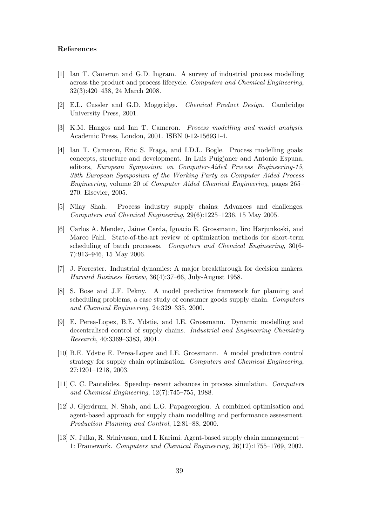#### References

- [1] Ian T. Cameron and G.D. Ingram. A survey of industrial process modelling across the product and process lifecycle. Computers and Chemical Engineering, 32(3):420–438, 24 March 2008.
- [2] E.L. Cussler and G.D. Moggridge. Chemical Product Design. Cambridge University Press, 2001.
- [3] K.M. Hangos and Ian T. Cameron. Process modelling and model analysis. Academic Press, London, 2001. ISBN 0-12-156931-4.
- [4] Ian T. Cameron, Eric S. Fraga, and I.D.L. Bogle. Process modelling goals: concepts, structure and development. In Luis Puigjaner and Antonio Espuna, editors, European Symposium on Computer-Aided Process Engineering-15, 38th European Symposium of the Working Party on Computer Aided Process Engineering, volume 20 of Computer Aided Chemical Engineering, pages 265– 270. Elsevier, 2005.
- [5] Nilay Shah. Process industry supply chains: Advances and challenges. Computers and Chemical Engineering, 29(6):1225–1236, 15 May 2005.
- [6] Carlos A. Mendez, Jaime Cerda, Ignacio E. Grossmann, Iiro Harjunkoski, and Marco Fahl. State-of-the-art review of optimization methods for short-term scheduling of batch processes. Computers and Chemical Engineering, 30(6- 7):913–946, 15 May 2006.
- [7] J. Forrester. Industrial dynamics: A major breakthrough for decision makers. Harvard Business Review, 36(4):37–66, July-August 1958.
- [8] S. Bose and J.F. Pekny. A model predictive framework for planning and scheduling problems, a case study of consumer goods supply chain. Computers and Chemical Engineering, 24:329–335, 2000.
- [9] E. Perea-Lopez, B.E. Ydstie, and I.E. Grossmann. Dynamic modelling and decentralised control of supply chains. Industrial and Engineering Chemistry Research, 40:3369–3383, 2001.
- [10] B.E. Ydstie E. Perea-Lopez and I.E. Grossmann. A model predictive control strategy for supply chain optimisation. Computers and Chemical Engineering, 27:1201–1218, 2003.
- [11] C. C. Pantelides. Speedup–recent advances in process simulation. Computers and Chemical Engineering, 12(7):745–755, 1988.
- [12] J. Gjerdrum, N. Shah, and L.G. Papageorgiou. A combined optimisation and agent-based approach for supply chain modelling and performance assessment. Production Planning and Control, 12:81–88, 2000.
- [13] N. Julka, R. Srinivasan, and I. Karimi. Agent-based supply chain management 1: Framework. Computers and Chemical Engineering, 26(12):1755–1769, 2002.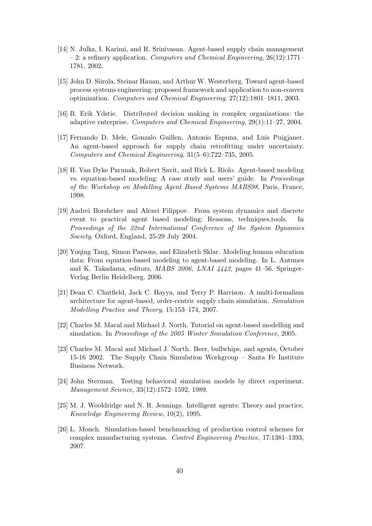- [14] N. Julka, I. Karimi, and R. Srinivasan. Agent-based supply chain management  $-2$ : a refinery application. Computers and Chemical Engineering, 26(12):1771– 1781, 2002.
- [15] John D. Siirola, Steinar Hauan, and Arthur W. Westerberg. Toward agent-based process systems engineering: proposed framework and application to non-convex optimization. Computers and Chemical Engineering, 27(12):1801–1811, 2003.
- [16] B. Erik Ydstie. Distributed decision making in complex organizations: the adaptive enterprise. Computers and Chemical Engineering, 29(1):11–27, 2004.
- [17] Fernando D. Mele, Gonzalo Guillen, Antonio Espuna, and Luis Puigjaner. An agent-based approach for supply chain retrofitting under uncertainty. Computers and Chemical Engineering, 31(5–6):722–735, 2005.
- [18] H. Van Dyke Parunak, Robert Savit, and Rick L. Riolo. Agent-based modeling vs. equation-based modeling: A case study and users' guide. In Proceedings of the Workshop on Modelling Agent Based Systems MABS98, Paris, France, 1998.
- [19] Andrei Borshchev and Alexei Filippov. From system dynamics and discrete event to practical agent based modeling: Reasons, techniques,tools. In Proceedings of the 22nd International Conference of the System Dynamics Society, Oxford, England, 25-29 July 2004.
- [20] Yuqing Tang, Simon Parsons, and Elizabeth Sklar. Modeling human education data: From equation-based modeling to agent-based modeling. In L. Antunes and K. Takadama, editors, MABS 2006, LNAI 4442, pages 41–56. Springer-Verlag Berlin Heidelberg, 2006.
- [21] Dean C. Chatfield, Jack C. Hayya, and Terry P. Harrison. A multi-formalism architecture for agent-based, order-centric supply chain simulation. Simulation Modelling Practice and Theory, 15:153–174, 2007.
- [22] Charles M. Macal and Michael J. North. Tutorial on agent-based modelling and simulation. In Proceedings of the 2005 Winter Simulation Conference, 2005.
- [23] Charles M. Macal and Michael J. North. Beer, bullwhips, and agents, October 15-16 2002. The Supply Chain Simulation Workgroup – Santa Fe Institute Business Network.
- [24] John Sterman. Testing behavioral simulation models by direct experiment. Management Science, 33(12):1572–1592, 1989.
- [25] M. J. Wooldridge and N. R. Jennings. Intelligent agents: Theory and practice. Knowledge Engineering Review, 10(2), 1995.
- [26] L. Monch. Simulation-based benchmarking of production control schemes for complex manufacturing systems. Control Engineering Practice, 17:1381–1393, 2007.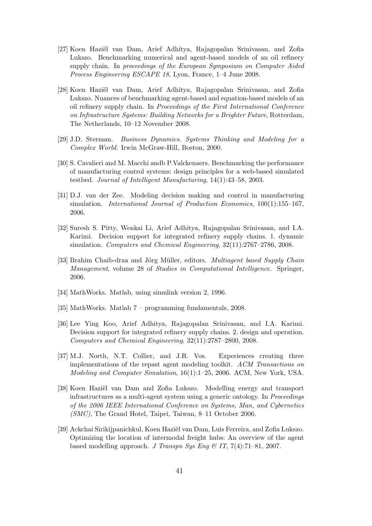- [27] Koen Haziël van Dam, Arief Adhitya, Rajagopalan Srinivasan, and Zofia Lukszo. Benchmarking numerical and agent-based models of an oil refinery supply chain. In proceedings of the European Symposium on Computer Aided Process Engineering ESCAPE 18, Lyon, France, 1–4 June 2008.
- [28] Koen Haziël van Dam, Arief Adhitya, Rajagopalan Srinivasan, and Zofia Lukszo. Nuances of benchmarking agent-based and equation-based models of an oil refinery supply chain. In Proceedings of the First International Conference on Infrastructure Systems: Building Networks for a Brighter Future, Rotterdam, The Netherlands, 10–12 November 2008.
- [29] J.D. Sterman. Business Dynamics. Systems Thinking and Modeling for a Complex World. Irwin McGraw-Hill, Boston, 2000.
- [30] S. Cavalieri and M. Macchi andb P.Valckenaers. Benchmarking the performance of manufacturing control systems: design principles for a web-based simulated testbed. Journal of Intelligent Manufacturing, 14(1):43–58, 2003.
- [31] D.J. van der Zee. Modeling decision making and control in manufacturing simulation. International Journal of Production Economics, 100(1):155–167, 2006.
- [32] Suresh S. Pitty, Wenkai Li, Arief Adhitya, Rajagopalan Srinivasan, and I.A. Karimi. Decision support for integrated refinery supply chains. 1. dynamic simulation. Computers and Chemical Engineering, 32(11):2767–2786, 2008.
- [33] Brahim Chaib-draa and Jörg Müller, editors. *Multiagent based Supply Chain* Management, volume 28 of Studies in Computational Intelligence. Springer, 2006.
- [34] MathWorks. Matlab, using simulink version 2, 1996.
- [35] MathWorks. Matlab 7 programming fundamentals, 2008.
- [36] Lee Ying Koo, Arief Adhitya, Rajagopalan Srinivasan, and I.A. Karimi. Decision support for integrated refinery supply chains. 2. design and operation. Computers and Chemical Engineering, 32(11):2787–2800, 2008.
- [37] M.J. North, N.T. Collier, and J.R. Vos. Experiences creating three implementations of the repast agent modeling toolkit. ACM Transactions on Modeling and Computer Simulation, 16(1):1–25, 2006. ACM, New York, USA.
- [38] Koen Haziël van Dam and Zofia Lukszo. Modelling energy and transport infrastructures as a multi-agent system using a generic ontology. In Proceedings of the 2006 IEEE International Conference on Systems, Man, and Cybernetics (SMC), The Grand Hotel, Taipei, Taiwan, 8–11 October 2006.
- [39] Ackchai Sirikijpanichkul, Koen Haziël van Dam, Luis Ferreira, and Zofia Lukszo. Optimizing the location of intermodal freight hubs: An overview of the agent based modelling approach. J Transpn Sys Eng & IT, 7(4):71-81, 2007.